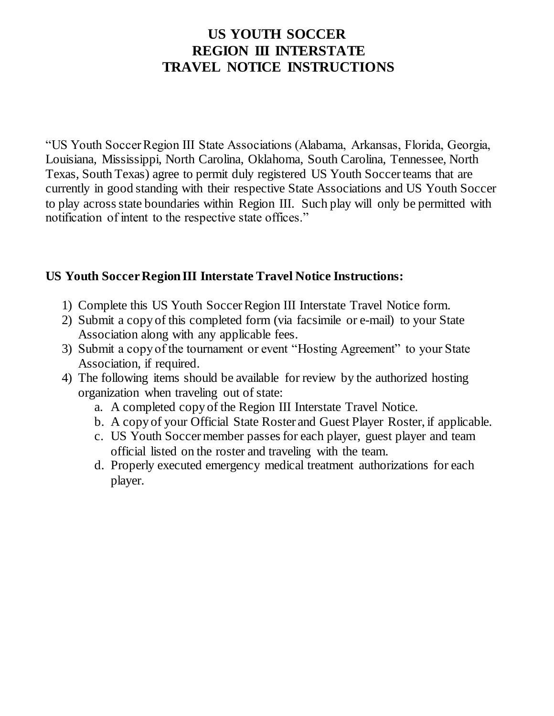# **US YOUTH SOCCER REGION III INTERSTATE TRAVEL NOTICE INSTRUCTIONS**

"US Youth Soccer Region III State Associations (Alabama, Arkansas, Florida, Georgia, Louisiana, Mississippi, North Carolina, Oklahoma, South Carolina, Tennessee, North Texas, South Texas) agree to permit duly registered US Youth Soccer teams that are currently in good standing with their respective State Associations and US Youth Soccer to play across state boundaries within Region III. Such play will only be permitted with notification of intent to the respective state offices."

### **US Youth Soccer Region III Interstate Travel Notice Instructions:**

- 1) Complete this US Youth Soccer Region III Interstate Travel Notice form.
- 2) Submit a copy of this completed form (via facsimile or e-mail) to your State Association along with any applicable fees.
- 3) Submit a copy of the tournament or event "Hosting Agreement" to your State Association, if required.
- 4) The following items should be available for review by the authorized hosting organization when traveling out of state:
	- a. A completed copy of the Region III Interstate Travel Notice.
	- b. A copy of your Official State Roster and Guest Player Roster, if applicable.
	- c. US Youth Soccer member passes for each player, guest player and team official listed on the roster and traveling with the team.
	- d. Properly executed emergency medical treatment authorizations for each player.